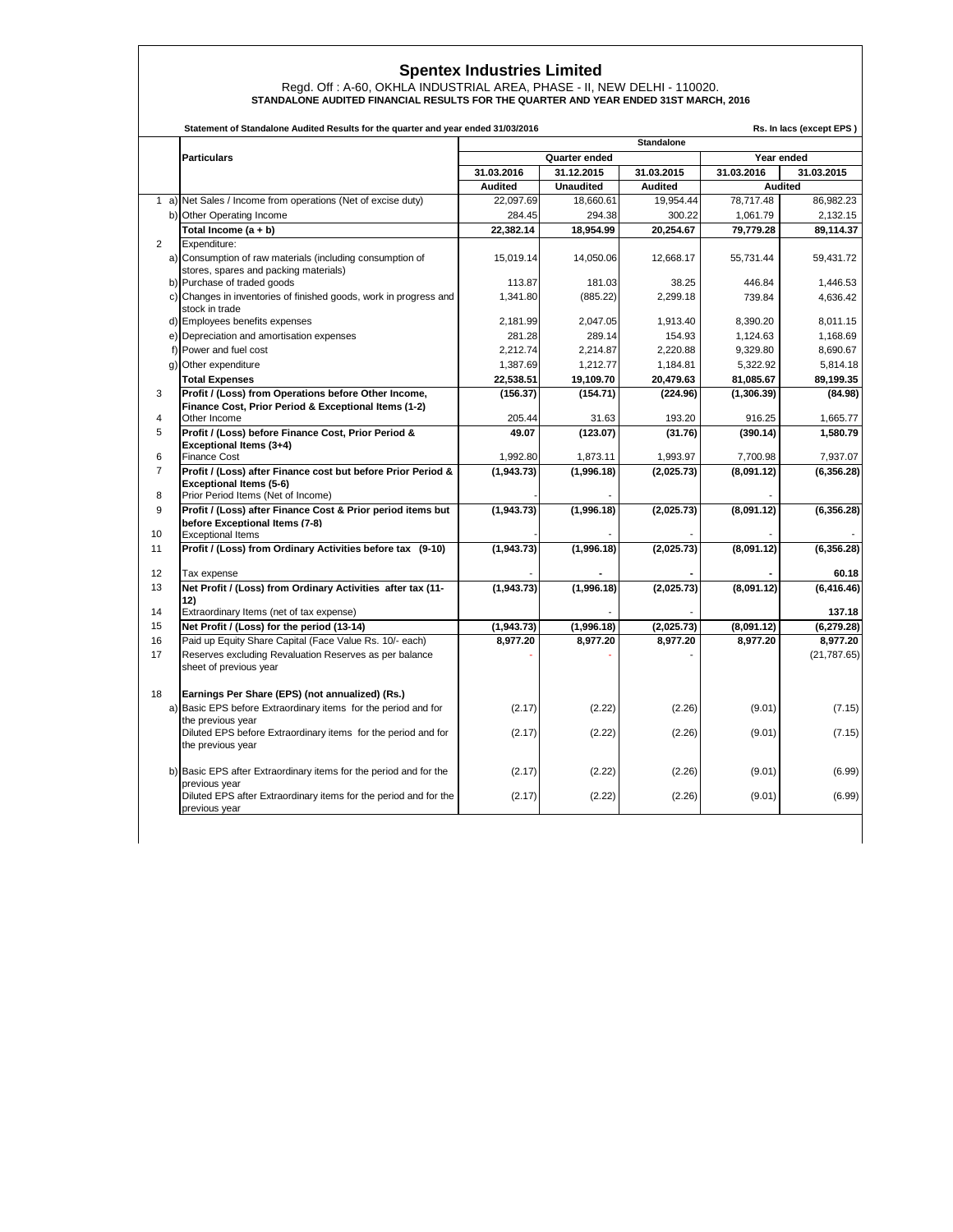## **Spentex Industries Limited**

Regd. Off : A-60, OKHLA INDUSTRIAL AREA, PHASE - II, NEW DELHI - 110020. **STANDALONE AUDITED FINANCIAL RESULTS FOR THE QUARTER AND YEAR ENDED 31ST MARCH, 2016**

|                | Statement of Standalone Audited Results for the quarter and year ended 31/03/2016<br>Rs. In lacs (except EPS) |                   |                  |                |             |                |  |  |
|----------------|---------------------------------------------------------------------------------------------------------------|-------------------|------------------|----------------|-------------|----------------|--|--|
|                |                                                                                                               | <b>Standalone</b> |                  |                |             |                |  |  |
|                | <b>Particulars</b>                                                                                            | Quarter ended     |                  |                | Year ended  |                |  |  |
|                |                                                                                                               | 31.03.2016        | 31.12.2015       | 31.03.2015     | 31.03.2016  | 31.03.2015     |  |  |
|                |                                                                                                               | <b>Audited</b>    | <b>Unaudited</b> | <b>Audited</b> |             | <b>Audited</b> |  |  |
|                | 1 a) Net Sales / Income from operations (Net of excise duty)                                                  | 22,097.69         | 18,660.61        | 19.954.44      | 78.717.48   | 86,982.23      |  |  |
|                | b) Other Operating Income                                                                                     | 284.45            | 294.38           | 300.22         | 1,061.79    | 2,132.15       |  |  |
|                | Total Income (a + b)                                                                                          | 22,382.14         | 18,954.99        | 20,254.67      | 79,779.28   | 89,114.37      |  |  |
| $\overline{2}$ | Expenditure:                                                                                                  |                   |                  |                |             |                |  |  |
|                | a) Consumption of raw materials (including consumption of<br>stores, spares and packing materials)            | 15,019.14         | 14,050.06        | 12,668.17      | 55,731.44   | 59,431.72      |  |  |
|                | b) Purchase of traded goods                                                                                   | 113.87            | 181.03           | 38.25          | 446.84      | 1,446.53       |  |  |
|                | c) Changes in inventories of finished goods, work in progress and<br>stock in trade                           | 1,341.80          | (885.22)         | 2,299.18       | 739.84      | 4,636.42       |  |  |
|                | d) Employees benefits expenses                                                                                | 2,181.99          | 2,047.05         | 1,913.40       | 8,390.20    | 8,011.15       |  |  |
|                | e) Depreciation and amortisation expenses                                                                     | 281.28            | 289.14           | 154.93         | 1,124.63    | 1,168.69       |  |  |
|                | f) Power and fuel cost                                                                                        | 2.212.74          | 2.214.87         | 2,220.88       | 9.329.80    | 8.690.67       |  |  |
|                | g) Other expenditure                                                                                          | 1,387.69          | 1,212.77         | 1,184.81       | 5,322.92    | 5,814.18       |  |  |
|                | <b>Total Expenses</b>                                                                                         | 22,538.51         | 19,109.70        | 20,479.63      | 81,085.67   | 89,199.35      |  |  |
| 3              | Profit / (Loss) from Operations before Other Income,                                                          | (156.37)          | (154.71)         | (224.96)       | (1, 306.39) | (84.98)        |  |  |
|                | Finance Cost, Prior Period & Exceptional Items (1-2)                                                          |                   |                  |                |             |                |  |  |
| 4              | Other Income                                                                                                  | 205.44            | 31.63            | 193.20         | 916.25      | 1,665.77       |  |  |
| 5              | Profit / (Loss) before Finance Cost, Prior Period &<br>Exceptional Items (3+4)                                | 49.07             | (123.07)         | (31.76)        | (390.14)    | 1,580.79       |  |  |
| 6              | <b>Finance Cost</b>                                                                                           | 1,992.80          | 1,873.11         | 1,993.97       | 7,700.98    | 7,937.07       |  |  |
| $\overline{7}$ | Profit / (Loss) after Finance cost but before Prior Period &                                                  | (1,943.73)        | (1,996.18)       | (2,025.73)     | (8,091.12)  | (6, 356.28)    |  |  |
|                | Exceptional Items (5-6)                                                                                       |                   |                  |                |             |                |  |  |
| 8              | Prior Period Items (Net of Income)                                                                            |                   |                  |                |             |                |  |  |
| 9              | Profit / (Loss) after Finance Cost & Prior period items but                                                   | (1,943.73)        | (1,996.18)       | (2,025.73)     | (8,091.12)  | (6,356.28)     |  |  |
|                | before Exceptional Items (7-8)                                                                                |                   |                  |                |             |                |  |  |
| 10             | <b>Exceptional Items</b>                                                                                      |                   |                  |                |             |                |  |  |
| 11             | Profit / (Loss) from Ordinary Activities before tax (9-10)                                                    | (1,943.73)        | (1,996.18)       | (2,025.73)     | (8,091.12)  | (6, 356.28)    |  |  |
| 12             | Tax expense                                                                                                   |                   |                  |                |             | 60.18          |  |  |
| 13             | Net Profit / (Loss) from Ordinary Activities after tax (11-                                                   | (1,943.73)        | (1,996.18)       | (2,025.73)     | (8,091.12)  | (6, 416.46)    |  |  |
|                | 12)                                                                                                           |                   |                  |                |             |                |  |  |
| 14             | Extraordinary Items (net of tax expense)                                                                      |                   |                  |                |             | 137.18         |  |  |
| 15             | Net Profit / (Loss) for the period (13-14)                                                                    | (1,943.73)        | (1,996.18)       | (2,025.73)     | (8,091.12)  | (6, 279.28)    |  |  |
| 16             | Paid up Equity Share Capital (Face Value Rs. 10/- each)                                                       | 8,977.20          | 8,977.20         | 8,977.20       | 8,977.20    | 8,977.20       |  |  |
| 17             | Reserves excluding Revaluation Reserves as per balance<br>sheet of previous year                              |                   |                  |                |             | (21, 787.65)   |  |  |
| 18             | Earnings Per Share (EPS) (not annualized) (Rs.)                                                               |                   |                  |                |             |                |  |  |
|                | a) Basic EPS before Extraordinary items for the period and for                                                | (2.17)            | (2.22)           | (2.26)         | (9.01)      | (7.15)         |  |  |
|                | the previous year                                                                                             |                   |                  |                |             |                |  |  |
|                | Diluted EPS before Extraordinary items for the period and for                                                 | (2.17)            | (2.22)           | (2.26)         | (9.01)      | (7.15)         |  |  |
|                | the previous year                                                                                             |                   |                  |                |             |                |  |  |
|                |                                                                                                               |                   |                  |                |             |                |  |  |
|                | b) Basic EPS after Extraordinary items for the period and for the                                             | (2.17)            | (2.22)           | (2.26)         | (9.01)      | (6.99)         |  |  |
|                | previous year<br>Diluted EPS after Extraordinary items for the period and for the                             | (2.17)            | (2.22)           | (2.26)         | (9.01)      | (6.99)         |  |  |
|                | previous year                                                                                                 |                   |                  |                |             |                |  |  |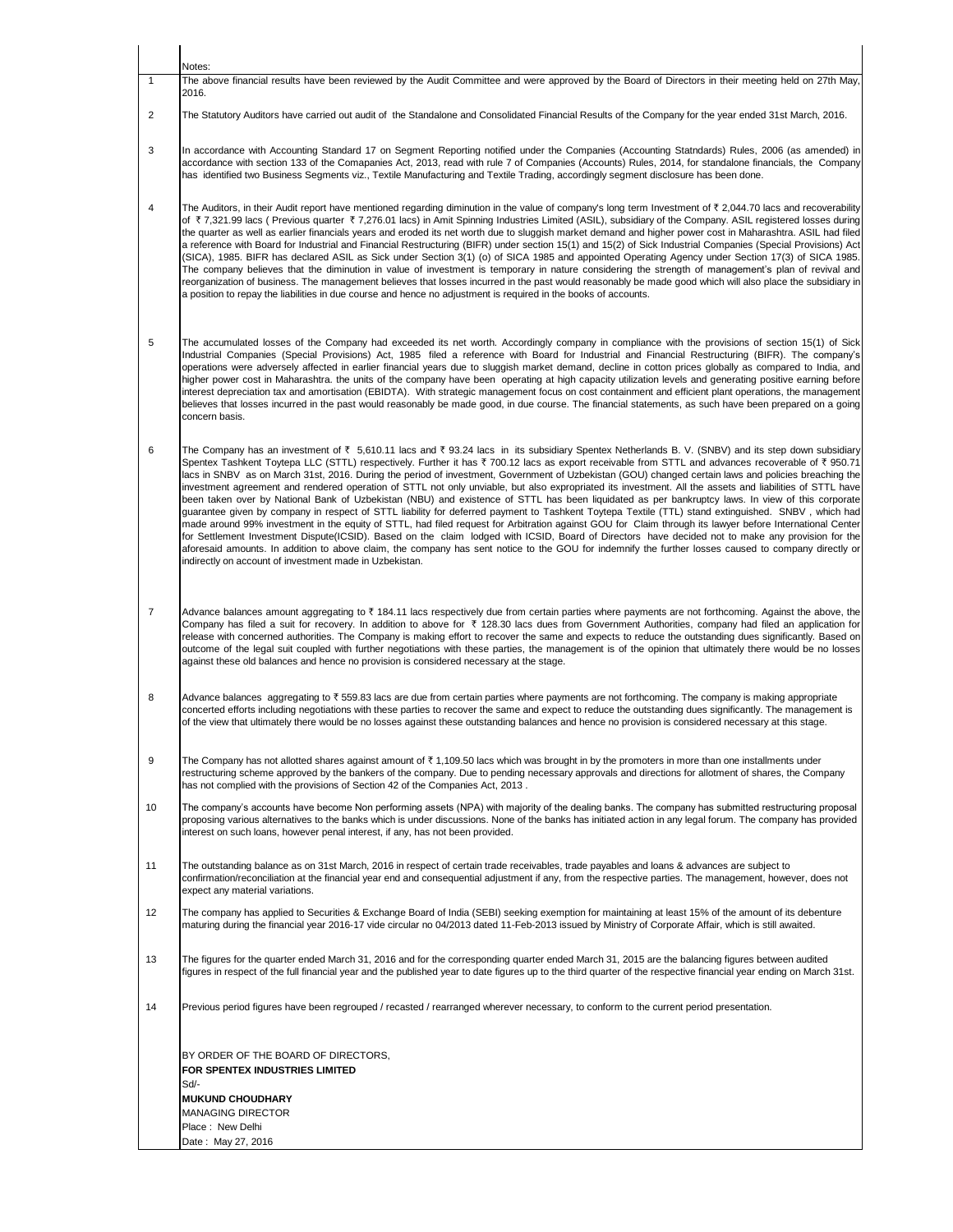|                | Notes:                                                                                                                                                                                                                                                                                                                                                                                                                                                                                                                                                                                                                                                                                                                                                                                                                                                                                                                                                                                                                                                                                                                                                                                                                                                                                                                                                                                                                                                                                          |
|----------------|-------------------------------------------------------------------------------------------------------------------------------------------------------------------------------------------------------------------------------------------------------------------------------------------------------------------------------------------------------------------------------------------------------------------------------------------------------------------------------------------------------------------------------------------------------------------------------------------------------------------------------------------------------------------------------------------------------------------------------------------------------------------------------------------------------------------------------------------------------------------------------------------------------------------------------------------------------------------------------------------------------------------------------------------------------------------------------------------------------------------------------------------------------------------------------------------------------------------------------------------------------------------------------------------------------------------------------------------------------------------------------------------------------------------------------------------------------------------------------------------------|
| $\mathbf{1}$   | The above financial results have been reviewed by the Audit Committee and were approved by the Board of Directors in their meeting held on 27th May,<br>2016.                                                                                                                                                                                                                                                                                                                                                                                                                                                                                                                                                                                                                                                                                                                                                                                                                                                                                                                                                                                                                                                                                                                                                                                                                                                                                                                                   |
| 2              | The Statutory Auditors have carried out audit of the Standalone and Consolidated Financial Results of the Company for the year ended 31st March, 2016.                                                                                                                                                                                                                                                                                                                                                                                                                                                                                                                                                                                                                                                                                                                                                                                                                                                                                                                                                                                                                                                                                                                                                                                                                                                                                                                                          |
| 3              | In accordance with Accounting Standard 17 on Segment Reporting notified under the Companies (Accounting Statndards) Rules, 2006 (as amended) in<br>accordance with section 133 of the Comapanies Act, 2013, read with rule 7 of Companies (Accounts) Rules, 2014, for standalone financials, the Company<br>has identified two Business Segments viz., Textile Manufacturing and Textile Trading, accordingly segment disclosure has been done.                                                                                                                                                                                                                                                                                                                                                                                                                                                                                                                                                                                                                                                                                                                                                                                                                                                                                                                                                                                                                                                 |
| 4              | The Auditors, in their Audit report have mentioned regarding diminution in the value of company's long term Investment of $\bar{\tau}$ 2,044.70 lacs and recoverability<br>of ₹7,321.99 lacs (Previous quarter ₹7,276.01 lacs) in Amit Spinning Industries Limited (ASIL), subsidiary of the Company. ASIL registered losses during<br>the quarter as well as earlier financials years and eroded its net worth due to sluggish market demand and higher power cost in Maharashtra. ASIL had filed<br>a reference with Board for Industrial and Financial Restructuring (BIFR) under section 15(1) and 15(2) of Sick Industrial Companies (Special Provisions) Act<br>(SICA), 1985. BIFR has declared ASIL as Sick under Section 3(1) (o) of SICA 1985 and appointed Operating Agency under Section 17(3) of SICA 1985.<br>The company believes that the diminution in value of investment is temporary in nature considering the strength of management's plan of revival and<br>reorganization of business. The management believes that losses incurred in the past would reasonably be made good which will also place the subsidiary in<br>a position to repay the liabilities in due course and hence no adjustment is required in the books of accounts.                                                                                                                                                                                                                                 |
| 5              | The accumulated losses of the Company had exceeded its net worth. Accordingly company in compliance with the provisions of section 15(1) of Sick<br>Industrial Companies (Special Provisions) Act, 1985 filed a reference with Board for Industrial and Financial Restructuring (BIFR). The company's<br>operations were adversely affected in earlier financial years due to sluggish market demand, decline in cotton prices globally as compared to India, and<br>higher power cost in Maharashtra. the units of the company have been operating at high capacity utilization levels and generating positive earning before<br>interest depreciation tax and amortisation (EBIDTA). With strategic management focus on cost containment and efficient plant operations, the management<br>believes that losses incurred in the past would reasonably be made good, in due course. The financial statements, as such have been prepared on a going<br>concern basis.                                                                                                                                                                                                                                                                                                                                                                                                                                                                                                                          |
| 6              | The Company has an investment of $\bar{\tau}$ 5,610.11 lacs and $\bar{\tau}$ 93.24 lacs in its subsidiary Spentex Netherlands B. V. (SNBV) and its step down subsidiary<br>Spentex Tashkent Toytepa LLC (STTL) respectively. Further it has ₹ 700.12 lacs as export receivable from STTL and advances recoverable of ₹ 950.71<br>lacs in SNBV as on March 31st, 2016. During the period of investment, Government of Uzbekistan (GOU) changed certain laws and policies breaching the<br>investment agreement and rendered operation of STTL not only unviable, but also expropriated its investment. All the assets and liabilities of STTL have<br>been taken over by National Bank of Uzbekistan (NBU) and existence of STTL has been liquidated as per bankruptcy laws. In view of this corporate<br>guarantee given by company in respect of STTL liability for deferred payment to Tashkent Toytepa Textile (TTL) stand extinguished. SNBV, which had<br>made around 99% investment in the equity of STTL, had filed request for Arbitration against GOU for Claim through its lawyer before International Center<br>for Settlement Investment Dispute(ICSID). Based on the claim lodged with ICSID, Board of Directors have decided not to make any provision for the<br>aforesaid amounts. In addition to above claim, the company has sent notice to the GOU for indemnify the further losses caused to company directly or<br>indirectly on account of investment made in Uzbekistan. |
| $\overline{7}$ | Advance balances amount aggregating to ₹ 184.11 lacs respectively due from certain parties where payments are not forthcoming. Against the above, the<br>Company has filed a suit for recovery. In addition to above for ₹ 128.30 lacs dues from Government Authorities, company had filed an application for<br>release with concerned authorities. The Company is making effort to recover the same and expects to reduce the outstanding dues significantly. Based on<br>outcome of the legal suit coupled with further negotiations with these parties, the management is of the opinion that ultimately there would be no losses<br>against these old balances and hence no provision is considered necessary at the stage.                                                                                                                                                                                                                                                                                                                                                                                                                                                                                                                                                                                                                                                                                                                                                                |
| 8              | Advance balances aggregating to $\bar{\tau}$ 559.83 lacs are due from certain parties where payments are not forthcoming. The company is making appropriate<br>concerted efforts including negotiations with these parties to recover the same and expect to reduce the outstanding dues significantly. The management is<br>of the view that ultimately there would be no losses against these outstanding balances and hence no provision is considered necessary at this stage.                                                                                                                                                                                                                                                                                                                                                                                                                                                                                                                                                                                                                                                                                                                                                                                                                                                                                                                                                                                                              |
| 9              | The Company has not allotted shares against amount of $\bar{\tau}$ 1,109.50 lacs which was brought in by the promoters in more than one installments under<br>restructuring scheme approved by the bankers of the company. Due to pending necessary approvals and directions for allotment of shares, the Company<br>has not complied with the provisions of Section 42 of the Companies Act, 2013.                                                                                                                                                                                                                                                                                                                                                                                                                                                                                                                                                                                                                                                                                                                                                                                                                                                                                                                                                                                                                                                                                             |
| 10             | The company's accounts have become Non performing assets (NPA) with majority of the dealing banks. The company has submitted restructuring proposal<br>proposing various alternatives to the banks which is under discussions. None of the banks has initiated action in any legal forum. The company has provided<br>interest on such loans, however penal interest, if any, has not been provided.                                                                                                                                                                                                                                                                                                                                                                                                                                                                                                                                                                                                                                                                                                                                                                                                                                                                                                                                                                                                                                                                                            |
| 11             | The outstanding balance as on 31st March, 2016 in respect of certain trade receivables, trade payables and loans & advances are subject to<br>confirmation/reconciliation at the financial year end and consequential adjustment if any, from the respective parties. The management, however, does not<br>expect any material variations.                                                                                                                                                                                                                                                                                                                                                                                                                                                                                                                                                                                                                                                                                                                                                                                                                                                                                                                                                                                                                                                                                                                                                      |
| 12             | The company has applied to Securities & Exchange Board of India (SEBI) seeking exemption for maintaining at least 15% of the amount of its debenture<br>maturing during the financial year 2016-17 vide circular no 04/2013 dated 11-Feb-2013 issued by Ministry of Corporate Affair, which is still awaited.                                                                                                                                                                                                                                                                                                                                                                                                                                                                                                                                                                                                                                                                                                                                                                                                                                                                                                                                                                                                                                                                                                                                                                                   |
| 13             | The figures for the quarter ended March 31, 2016 and for the corresponding quarter ended March 31, 2015 are the balancing figures between audited<br>figures in respect of the full financial year and the published year to date figures up to the third quarter of the respective financial year ending on March 31st.                                                                                                                                                                                                                                                                                                                                                                                                                                                                                                                                                                                                                                                                                                                                                                                                                                                                                                                                                                                                                                                                                                                                                                        |
| 14             | Previous period figures have been regrouped / recasted / rearranged wherever necessary, to conform to the current period presentation.                                                                                                                                                                                                                                                                                                                                                                                                                                                                                                                                                                                                                                                                                                                                                                                                                                                                                                                                                                                                                                                                                                                                                                                                                                                                                                                                                          |
|                | BY ORDER OF THE BOARD OF DIRECTORS.<br>FOR SPENTEX INDUSTRIES LIMITED<br>Sd/-<br><b>MUKUND CHOUDHARY</b>                                                                                                                                                                                                                                                                                                                                                                                                                                                                                                                                                                                                                                                                                                                                                                                                                                                                                                                                                                                                                                                                                                                                                                                                                                                                                                                                                                                        |
|                | <b>MANAGING DIRECTOR</b><br>Place: New Delhi                                                                                                                                                                                                                                                                                                                                                                                                                                                                                                                                                                                                                                                                                                                                                                                                                                                                                                                                                                                                                                                                                                                                                                                                                                                                                                                                                                                                                                                    |
|                | Date: May 27, 2016                                                                                                                                                                                                                                                                                                                                                                                                                                                                                                                                                                                                                                                                                                                                                                                                                                                                                                                                                                                                                                                                                                                                                                                                                                                                                                                                                                                                                                                                              |